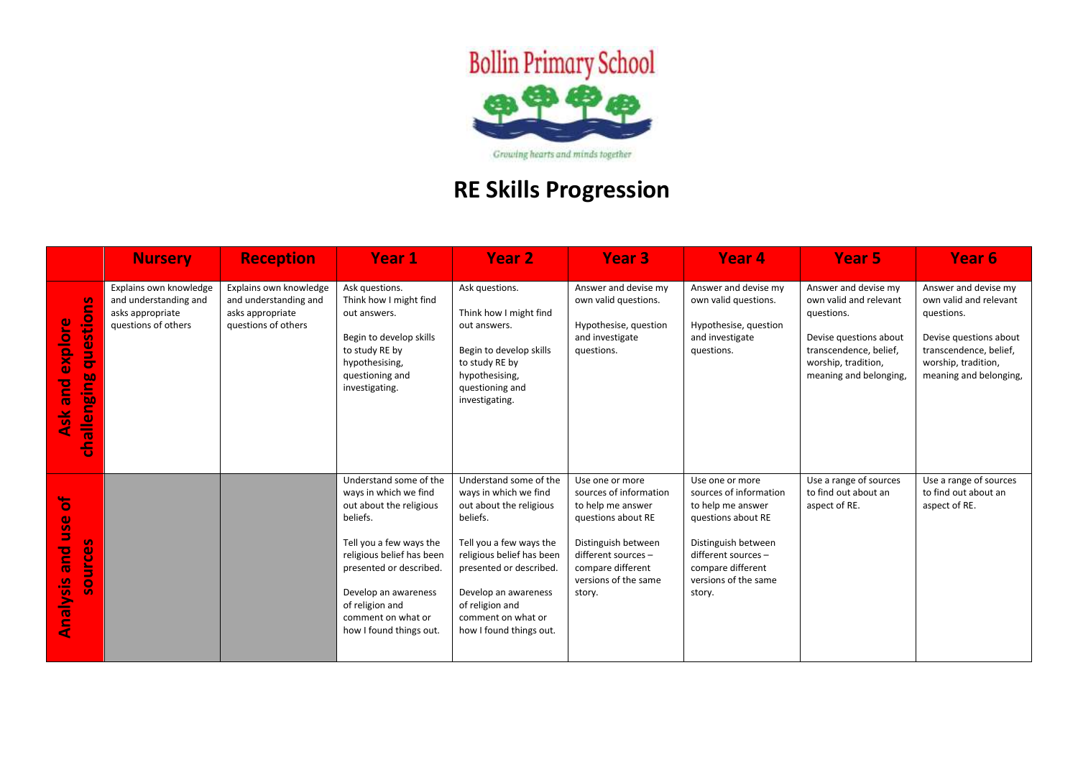

## **RE Skills Progression**

|                                                                              | <b>Nursery</b>                                                                             | <b>Reception</b>                                                                           | Year 1                                                                                                                                                                                                                                                                | <b>Year 2</b>                                                                                                                                                                                                                                                         | Year <sub>3</sub>                                                                                                                                                                         | Year <sub>4</sub>                                                                                                                                                                         | Year <sub>5</sub>                                                                                                                                                 | Year <sub>6</sub>                                                                                                                                                 |
|------------------------------------------------------------------------------|--------------------------------------------------------------------------------------------|--------------------------------------------------------------------------------------------|-----------------------------------------------------------------------------------------------------------------------------------------------------------------------------------------------------------------------------------------------------------------------|-----------------------------------------------------------------------------------------------------------------------------------------------------------------------------------------------------------------------------------------------------------------------|-------------------------------------------------------------------------------------------------------------------------------------------------------------------------------------------|-------------------------------------------------------------------------------------------------------------------------------------------------------------------------------------------|-------------------------------------------------------------------------------------------------------------------------------------------------------------------|-------------------------------------------------------------------------------------------------------------------------------------------------------------------|
| <u>g</u><br>questio<br>ၑ<br><b>oldxe</b><br>challenging<br><b>Pue</b><br>Ask | Explains own knowledge<br>and understanding and<br>asks appropriate<br>questions of others | Explains own knowledge<br>and understanding and<br>asks appropriate<br>questions of others | Ask questions.<br>Think how I might find<br>out answers.<br>Begin to develop skills<br>to study RE by<br>hypothesising,<br>questioning and<br>investigating.                                                                                                          | Ask questions.<br>Think how I might find<br>out answers.<br>Begin to develop skills<br>to study RE by<br>hypothesising,<br>questioning and<br>investigating.                                                                                                          | Answer and devise my<br>own valid questions.<br>Hypothesise, question<br>and investigate<br>questions.                                                                                    | Answer and devise my<br>own valid questions.<br>Hypothesise, question<br>and investigate<br>questions.                                                                                    | Answer and devise my<br>own valid and relevant<br>questions.<br>Devise questions about<br>transcendence, belief,<br>worship, tradition,<br>meaning and belonging, | Answer and devise my<br>own valid and relevant<br>questions.<br>Devise questions about<br>transcendence, belief,<br>worship, tradition,<br>meaning and belonging, |
| Ъ<br><b>use</b><br>S<br><b>b</b> nd<br>source<br>Analysis                    |                                                                                            |                                                                                            | Understand some of the<br>ways in which we find<br>out about the religious<br>beliefs.<br>Tell you a few ways the<br>religious belief has been<br>presented or described.<br>Develop an awareness<br>of religion and<br>comment on what or<br>how I found things out. | Understand some of the<br>ways in which we find<br>out about the religious<br>beliefs.<br>Tell you a few ways the<br>religious belief has been<br>presented or described.<br>Develop an awareness<br>of religion and<br>comment on what or<br>how I found things out. | Use one or more<br>sources of information<br>to help me answer<br>questions about RE<br>Distinguish between<br>different sources -<br>compare different<br>versions of the same<br>story. | Use one or more<br>sources of information<br>to help me answer<br>questions about RE<br>Distinguish between<br>different sources -<br>compare different<br>versions of the same<br>story. | Use a range of sources<br>to find out about an<br>aspect of RE.                                                                                                   | Use a range of sources<br>to find out about an<br>aspect of RE.                                                                                                   |